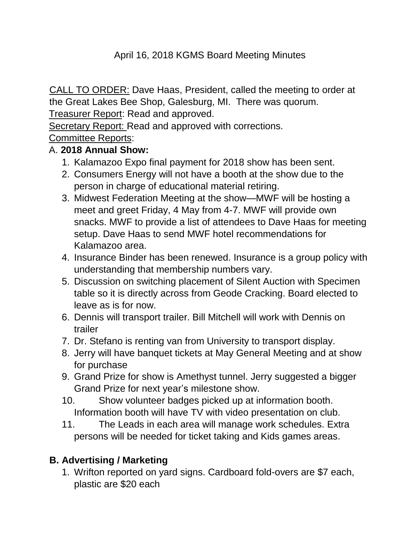## April 16, 2018 KGMS Board Meeting Minutes

CALL TO ORDER: Dave Haas, President, called the meeting to order at the Great Lakes Bee Shop, Galesburg, MI. There was quorum.

Treasurer Report: Read and approved.

Secretary Report: Read and approved with corrections.

## Committee Reports:

#### A. **2018 Annual Show:**

- 1. Kalamazoo Expo final payment for 2018 show has been sent.
- 2. Consumers Energy will not have a booth at the show due to the person in charge of educational material retiring.
- 3. Midwest Federation Meeting at the show—MWF will be hosting a meet and greet Friday, 4 May from 4-7. MWF will provide own snacks. MWF to provide a list of attendees to Dave Haas for meeting setup. Dave Haas to send MWF hotel recommendations for Kalamazoo area.
- 4. Insurance Binder has been renewed. Insurance is a group policy with understanding that membership numbers vary.
- 5. Discussion on switching placement of Silent Auction with Specimen table so it is directly across from Geode Cracking. Board elected to leave as is for now.
- 6. Dennis will transport trailer. Bill Mitchell will work with Dennis on trailer
- 7. Dr. Stefano is renting van from University to transport display.
- 8. Jerry will have banquet tickets at May General Meeting and at show for purchase
- 9. Grand Prize for show is Amethyst tunnel. Jerry suggested a bigger Grand Prize for next year's milestone show.
- 10. Show volunteer badges picked up at information booth. Information booth will have TV with video presentation on club.
- 11. The Leads in each area will manage work schedules. Extra persons will be needed for ticket taking and Kids games areas.

## **B. Advertising / Marketing**

1. Wrifton reported on yard signs. Cardboard fold-overs are \$7 each, plastic are \$20 each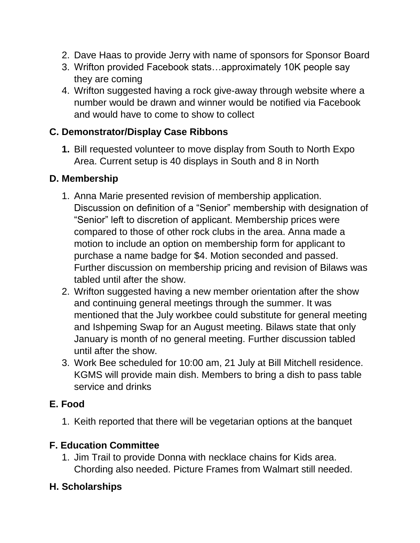- 2. Dave Haas to provide Jerry with name of sponsors for Sponsor Board
- 3. Wrifton provided Facebook stats…approximately 10K people say they are coming
- 4. Wrifton suggested having a rock give-away through website where a number would be drawn and winner would be notified via Facebook and would have to come to show to collect

#### **C. Demonstrator/Display Case Ribbons**

**1.** Bill requested volunteer to move display from South to North Expo Area. Current setup is 40 displays in South and 8 in North

# **D. Membership**

- 1. Anna Marie presented revision of membership application. Discussion on definition of a "Senior" membership with designation of "Senior" left to discretion of applicant. Membership prices were compared to those of other rock clubs in the area. Anna made a motion to include an option on membership form for applicant to purchase a name badge for \$4. Motion seconded and passed. Further discussion on membership pricing and revision of Bilaws was tabled until after the show.
- 2. Wrifton suggested having a new member orientation after the show and continuing general meetings through the summer. It was mentioned that the July workbee could substitute for general meeting and Ishpeming Swap for an August meeting. Bilaws state that only January is month of no general meeting. Further discussion tabled until after the show.
- 3. Work Bee scheduled for 10:00 am, 21 July at Bill Mitchell residence. KGMS will provide main dish. Members to bring a dish to pass table service and drinks

## **E. Food**

1. Keith reported that there will be vegetarian options at the banquet

## **F. Education Committee**

1. Jim Trail to provide Donna with necklace chains for Kids area. Chording also needed. Picture Frames from Walmart still needed.

## **H. Scholarships**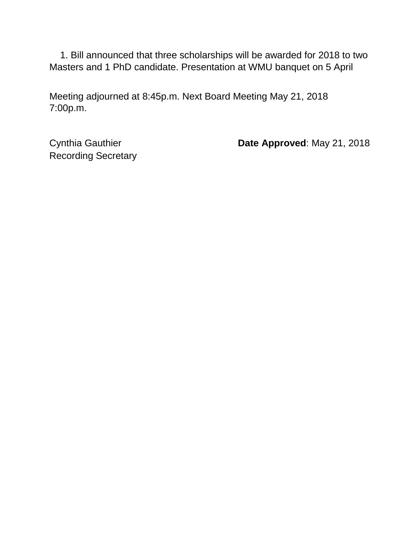1. Bill announced that three scholarships will be awarded for 2018 to two Masters and 1 PhD candidate. Presentation at WMU banquet on 5 April

Meeting adjourned at 8:45p.m. Next Board Meeting May 21, 2018 7:00p.m.

Recording Secretary

Cynthia Gauthier **Date Approved**: May 21, 2018